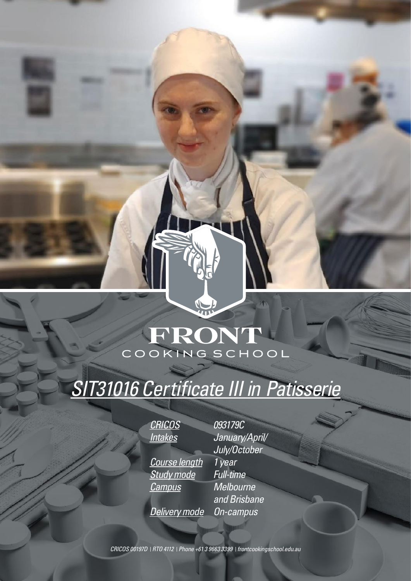# FRONT

# *SIT31016 Certificate III in Patisserie*

*CRICOS 093179C Course length 1 year Study mode Full-time Campus Melbourne* 

*Intakes January/April/ July/October and Brisbane Delivery mode On-campus*

*CRICOS 00197D RTO 4112 Phone +61 3 9663 3399 frontcookingschool.edu.au*